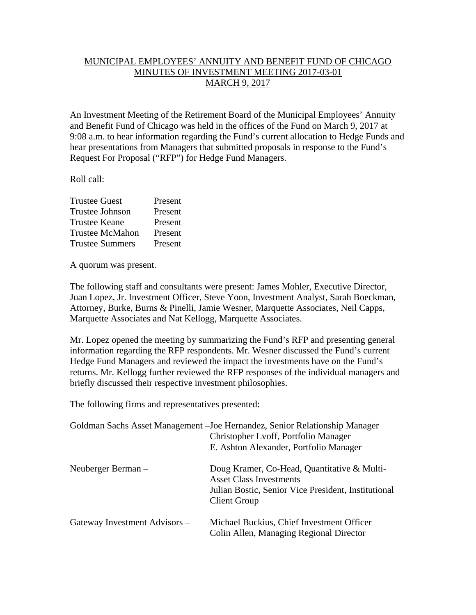## MUNICIPAL EMPLOYEES' ANNUITY AND BENEFIT FUND OF CHICAGO MINUTES OF INVESTMENT MEETING 2017-03-01 MARCH 9, 2017

An Investment Meeting of the Retirement Board of the Municipal Employees' Annuity and Benefit Fund of Chicago was held in the offices of the Fund on March 9, 2017 at 9:08 a.m. to hear information regarding the Fund's current allocation to Hedge Funds and hear presentations from Managers that submitted proposals in response to the Fund's Request For Proposal ("RFP") for Hedge Fund Managers.

Roll call:

| <b>Trustee Guest</b>   | Present |
|------------------------|---------|
| <b>Trustee Johnson</b> | Present |
| <b>Trustee Keane</b>   | Present |
| <b>Trustee McMahon</b> | Present |
| <b>Trustee Summers</b> | Present |

A quorum was present.

The following staff and consultants were present: James Mohler, Executive Director, Juan Lopez, Jr. Investment Officer, Steve Yoon, Investment Analyst, Sarah Boeckman, Attorney, Burke, Burns & Pinelli, Jamie Wesner, Marquette Associates, Neil Capps, Marquette Associates and Nat Kellogg, Marquette Associates.

Mr. Lopez opened the meeting by summarizing the Fund's RFP and presenting general information regarding the RFP respondents. Mr. Wesner discussed the Fund's current Hedge Fund Managers and reviewed the impact the investments have on the Fund's returns. Mr. Kellogg further reviewed the RFP responses of the individual managers and briefly discussed their respective investment philosophies.

The following firms and representatives presented:

|                               | Goldman Sachs Asset Management – Joe Hernandez, Senior Relationship Manager<br>Christopher Lvoff, Portfolio Manager<br>E. Ashton Alexander, Portfolio Manager |
|-------------------------------|---------------------------------------------------------------------------------------------------------------------------------------------------------------|
| Neuberger Berman –            | Doug Kramer, Co-Head, Quantitative & Multi-<br><b>Asset Class Investments</b><br>Julian Bostic, Senior Vice President, Institutional<br>Client Group          |
| Gateway Investment Advisors – | Michael Buckius, Chief Investment Officer<br>Colin Allen, Managing Regional Director                                                                          |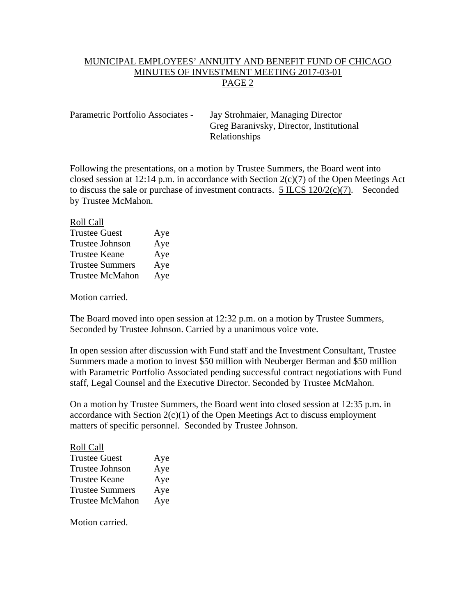## MUNICIPAL EMPLOYEES' ANNUITY AND BENEFIT FUND OF CHICAGO MINUTES OF INVESTMENT MEETING 2017-03-01 PAGE 2

Parametric Portfolio Associates - Jay Strohmaier, Managing Director Greg Baranivsky, Director, Institutional Relationships

Following the presentations, on a motion by Trustee Summers, the Board went into closed session at 12:14 p.m. in accordance with Section  $2(c)(7)$  of the Open Meetings Act to discuss the sale or purchase of investment contracts. 5 ILCS 120/2(c)(7). Seconded by Trustee McMahon.

## Roll Call

| <b>Trustee Guest</b>   | Aye |
|------------------------|-----|
| Trustee Johnson        | Aye |
| <b>Trustee Keane</b>   | Aye |
| <b>Trustee Summers</b> | Aye |
| <b>Trustee McMahon</b> | Aye |

Motion carried.

The Board moved into open session at 12:32 p.m. on a motion by Trustee Summers, Seconded by Trustee Johnson. Carried by a unanimous voice vote.

In open session after discussion with Fund staff and the Investment Consultant, Trustee Summers made a motion to invest \$50 million with Neuberger Berman and \$50 million with Parametric Portfolio Associated pending successful contract negotiations with Fund staff, Legal Counsel and the Executive Director. Seconded by Trustee McMahon.

On a motion by Trustee Summers, the Board went into closed session at 12:35 p.m. in accordance with Section  $2(c)(1)$  of the Open Meetings Act to discuss employment matters of specific personnel. Seconded by Trustee Johnson.

## Roll Call Trustee Guest Aye Trustee Johnson Aye Trustee Keane Aye Trustee Summers Aye Trustee McMahon Aye

Motion carried.